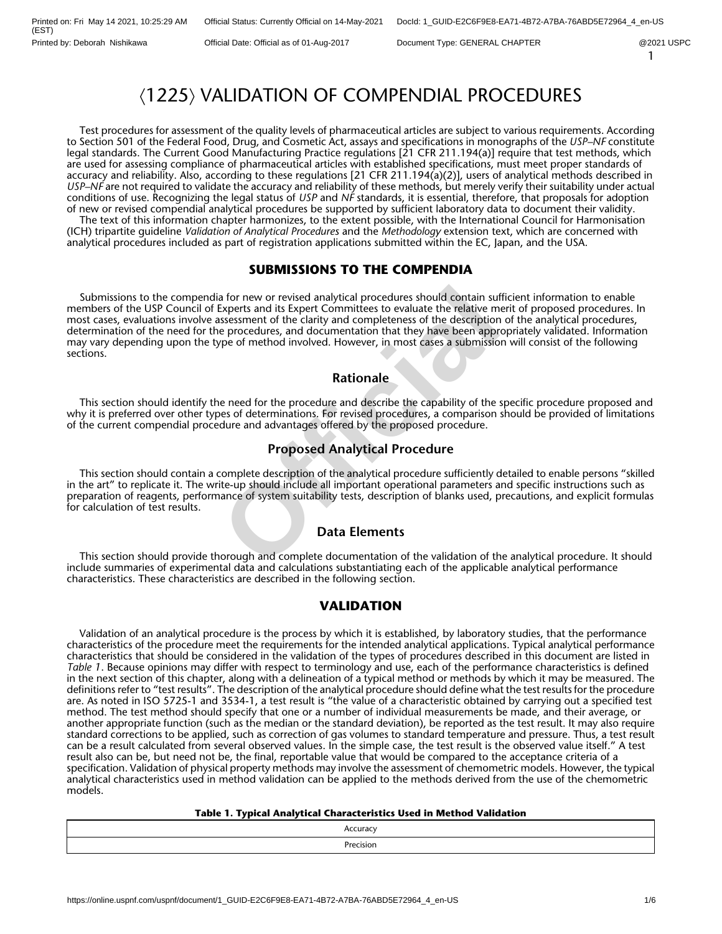Printed by: Deborah Nishikawa **Official Date: Official as of 01-Aug-2017** Document Type: GENERAL CHAPTER **@2021 USPC** 

# $\langle 1225 \rangle$  VALIDATION OF COMPENDIAL PROCEDURES

Test procedures for assessment of the quality levels of pharmaceutical articles are subject to various requirements. According to Section 501 of the Federal Food, Drug, and Cosmetic Act, assays and specifications in monographs of the *USP–NF* constitute legal standards. The Current Good Manufacturing Practice regulations [21 CFR 211.194(a)] require that test methods, which are used for assessing compliance of pharmaceutical articles with established specifications, must meet proper standards of accuracy and reliability. Also, according to these regulations [21 CFR 211.194(a)(2)], users of analytical methods described in *USP–NF* are not required to validate the accuracy and reliability of these methods, but merely verify their suitability under actual conditions of use. Recognizing the legal status of *USP* and *NF* standards, it is essential, therefore, that proposals for adoption of new or revised compendial analytical procedures be supported by sufficient laboratory data to document their validity.

The text of this information chapter harmonizes, to the extent possible, with the International Council for Harmonisation (ICH) tripartite guideline *Validation of Analytical Procedures* and the *Methodology* extension text, which are concerned with analytical procedures included as part of registration applications submitted within the EC, Japan, and the USA.

# **SUBMISSIONS TO THE COMPENDIA**

Submissions to the compendia for new or revised analytical procedures should contain sufficient information to enable members of the USP Council of Experts and its Expert Committees to evaluate the relative merit of proposed procedures. In most cases, evaluations involve assessment of the clarity and completeness of the description of the analytical procedures, determination of the need for the procedures, and documentation that they have been appropriately validated. Information may vary depending upon the type of method involved. However, in most cases a submission will consist of the following sections. a for new or revised analytical procedures should contain sufficient to expert and its Expert Committees to evaluate the relative m<br>
susessment of the clarity and completeness of the description<br>
e procedures, and document

## **Rationale**

This section should identify the need for the procedure and describe the capability of the specific procedure proposed and why it is preferred over other types of determinations. For revised procedures, a comparison should be provided of limitations of the current compendial procedure and advantages offered by the proposed procedure.

# **Proposed Analytical Procedure**

This section should contain a complete description of the analytical procedure sufficiently detailed to enable persons "skilled in the art" to replicate it. The write-up should include all important operational parameters and specific instructions such as preparation of reagents, performance of system suitability tests, description of blanks used, precautions, and explicit formulas for calculation of test results.

# **Data Elements**

This section should provide thorough and complete documentation of the validation of the analytical procedure. It should include summaries of experimental data and calculations substantiating each of the applicable analytical performance characteristics. These characteristics are described in the following section.

# **VALIDATION**

Validation of an analytical procedure is the process by which it is established, by laboratory studies, that the performance characteristics of the procedure meet the requirements for the intended analytical applications. Typical analytical performance characteristics that should be considered in the validation of the types of procedures described in this document are listed in *Table 1*. Because opinions may differ with respect to terminology and use, each of the performance characteristics is defined in the next section of this chapter, along with a delineation of a typical method or methods by which it may be measured. The definitions refer to "test results". The description of the analytical procedure should define what the test results for the procedure are. As noted in ISO 5725-1 and 3534-1, a test result is "the value of a characteristic obtained by carrying out a specified test method. The test method should specify that one or a number of individual measurements be made, and their average, or another appropriate function (such as the median or the standard deviation), be reported as the test result. It may also require standard corrections to be applied, such as correction of gas volumes to standard temperature and pressure. Thus, a test result can be a result calculated from several observed values. In the simple case, the test result is the observed value itself." A test result also can be, but need not be, the final, reportable value that would be compared to the acceptance criteria of a specification. Validation of physical property methods may involve the assessment of chemometric models. However, the typical analytical characteristics used in method validation can be applied to the methods derived from the use of the chemometric models.

#### **Table 1. Typical Analytical Characteristics Used in Method Validation**

| . . |                |  |
|-----|----------------|--|
|     | Accuracy       |  |
|     | Precision<br>. |  |
|     |                |  |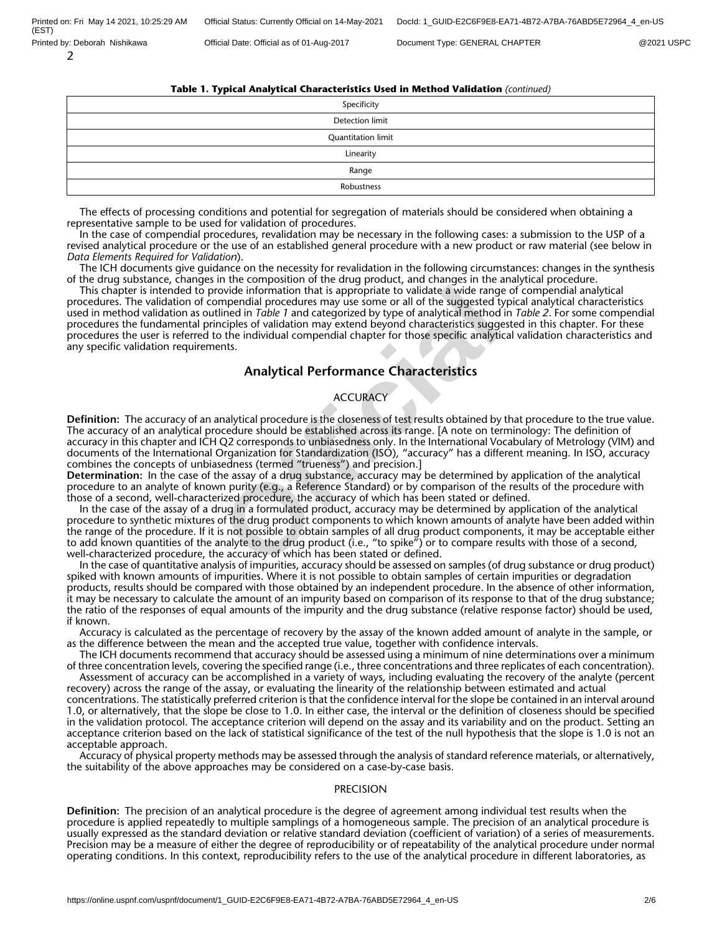#### **Table 1. Typical Analytical Characteristics Used in Method Validation** *(continued)*

| Specificity            |
|------------------------|
| <b>Detection limit</b> |
| Quantitation limit     |
| Linearity              |
| Range                  |
| Robustness             |

The effects of processing conditions and potential for segregation of materials should be considered when obtaining a representative sample to be used for validation of procedures.

In the case of compendial procedures, revalidation may be necessary in the following cases: a submission to the USP of a revised analytical procedure or the use of an established general procedure with a new product or raw material (see below in *Data Elements Required for Validation*).

The ICH documents give guidance on the necessity for revalidation in the following circumstances: changes in the synthesis of the drug substance, changes in the composition of the drug product, and changes in the analytical procedure.

This chapter is intended to provide information that is appropriate to validate a wide range of compendial analytical procedures. The validation of compendial procedures may use some or all of the suggested typical analytical characteristics used in method validation as outlined in *Table 1* and categorized by type of analytical method in *Table 2*. For some compendial procedures the fundamental principles of validation may extend beyond characteristics suggested in this chapter. For these procedures the user is referred to the individual compendial chapter for those specific analytical validation characteristics and any specific validation requirements. ovide information that is appropriate to validate a wide rang<br>
mpendial procedures may use some or all of the suggested timed in Table 1 and categorized by type of analytical method<br>
ciciles of validation may extend beyond

## **Analytical Performance Characteristics**

# **ACCURACY**

**Definition:** The accuracy of an analytical procedure is the closeness of test results obtained by that procedure to the true value. The accuracy of an analytical procedure should be established across its range. [A note on terminology: The definition of accuracy in this chapter and ICH Q2 corresponds to unbiasedness only. In the International Vocabulary of Metrology (VIM) and documents of the International Organization for Standardization (ISO), "accuracy" has a different meaning. In ISO, accuracy combines the concepts of unbiasedness (termed "trueness") and precision.]

**Determination:** In the case of the assay of a drug substance, accuracy may be determined by application of the analytical procedure to an analyte of known purity (e.g., a Reference Standard) or by comparison of the results of the procedure with those of a second, well-characterized procedure, the accuracy of which has been stated or defined.

In the case of the assay of a drug in a formulated product, accuracy may be determined by application of the analytical procedure to synthetic mixtures of the drug product components to which known amounts of analyte have been added within the range of the procedure. If it is not possible to obtain samples of all drug product components, it may be acceptable either to add known quantities of the analyte to the drug product (i.e., "to spike") or to compare results with those of a second, well-characterized procedure, the accuracy of which has been stated or defined.

In the case of quantitative analysis of impurities, accuracy should be assessed on samples (of drug substance or drug product) spiked with known amounts of impurities. Where it is not possible to obtain samples of certain impurities or degradation products, results should be compared with those obtained by an independent procedure. In the absence of other information, it may be necessary to calculate the amount of an impurity based on comparison of its response to that of the drug substance; the ratio of the responses of equal amounts of the impurity and the drug substance (relative response factor) should be used, if known.

Accuracy is calculated as the percentage of recovery by the assay of the known added amount of analyte in the sample, or as the difference between the mean and the accepted true value, together with confidence intervals.

The ICH documents recommend that accuracy should be assessed using a minimum of nine determinations over a minimum of three concentration levels, covering the specified range (i.e., three concentrations and three replicates of each concentration).

Assessment of accuracy can be accomplished in a variety of ways, including evaluating the recovery of the analyte (percent recovery) across the range of the assay, or evaluating the linearity of the relationship between estimated and actual concentrations. The statistically preferred criterion is that the confidence interval for the slope be contained in an interval around 1.0, or alternatively, that the slope be close to 1.0. In either case, the interval or the definition of closeness should be specified

in the validation protocol. The acceptance criterion will depend on the assay and its variability and on the product. Setting an acceptance criterion based on the lack of statistical significance of the test of the null hypothesis that the slope is 1.0 is not an acceptable approach. Accuracy of physical property methods may be assessed through the analysis of standard reference materials, or alternatively,

the suitability of the above approaches may be considered on a case-by-case basis.

#### PRECISION

**Definition:** The precision of an analytical procedure is the degree of agreement among individual test results when the procedure is applied repeatedly to multiple samplings of a homogeneous sample. The precision of an analytical procedure is usually expressed as the standard deviation or relative standard deviation (coefficient of variation) of a series of measurements. Precision may be a measure of either the degree of reproducibility or of repeatability of the analytical procedure under normal operating conditions. In this context, reproducibility refers to the use of the analytical procedure in different laboratories, as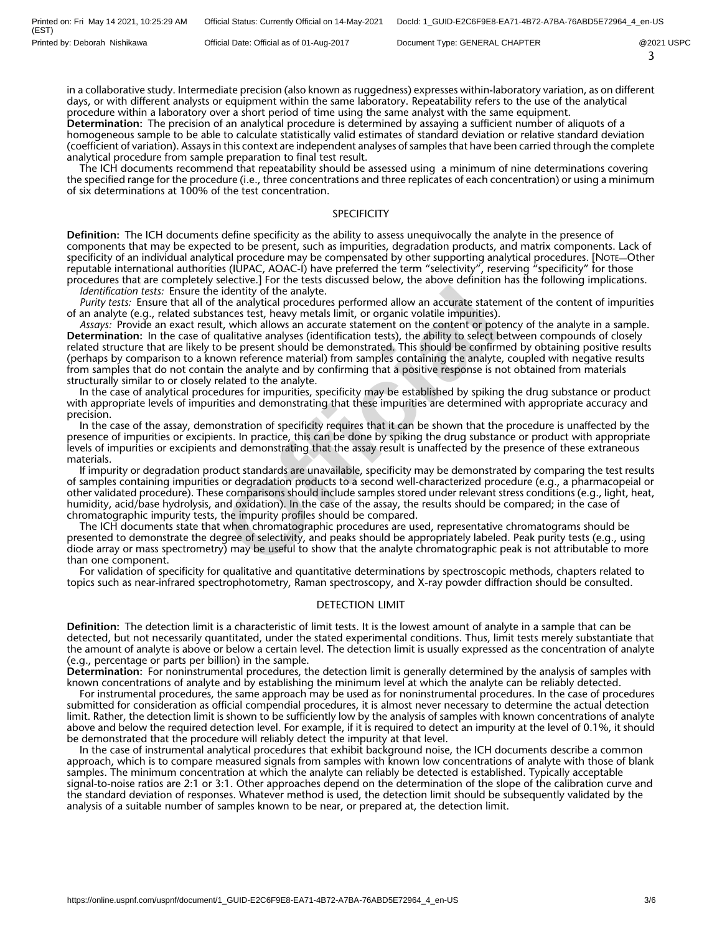in a collaborative study. Intermediate precision (also known as ruggedness) expresses within-laboratory variation, as on different days, or with different analysts or equipment within the same laboratory. Repeatability refers to the use of the analytical procedure within a laboratory over a short period of time using the same analyst with the same equipment. **Determination:** The precision of an analytical procedure is determined by assaying a sufficient number of aliquots of a

homogeneous sample to be able to calculate statistically valid estimates of standard deviation or relative standard deviation (coefficient of variation). Assays in this context are independent analyses of samples that have been carried through the complete analytical procedure from sample preparation to final test result.

The ICH documents recommend that repeatability should be assessed using a minimum of nine determinations covering the specified range for the procedure (i.e., three concentrations and three replicates of each concentration) or using a minimum of six determinations at 100% of the test concentration.

### **SPECIFICITY**

**Definition:** The ICH documents define specificity as the ability to assess unequivocally the analyte in the presence of components that may be expected to be present, such as impurities, degradation products, and matrix components. Lack of specificity of an individual analytical procedure may be compensated by other supporting analytical procedures. [NOTE—Other reputable international authorities (IUPAC, AOAC-I) have preferred the term "selectivity", reserving "specificity" for those procedures that are completely selective.] For the tests discussed below, the above definition has the following implications.

*Identification tests:* Ensure the identity of the analyte. *Purity tests:* Ensure that all of the analytical procedures performed allow an accurate statement of the content of impurities of an analyte (e.g., related substances test, heavy metals limit, or organic volatile impurities).

*Assays:* Provide an exact result, which allows an accurate statement on the content or potency of the analyte in a sample. **Determination:** In the case of qualitative analyses (identification tests), the ability to select between compounds of closely related structure that are likely to be present should be demonstrated. This should be confirmed by obtaining positive results (perhaps by comparison to a known reference material) from samples containing the analyte, coupled with negative results from samples that do not contain the analyte and by confirming that a positive response is not obtained from materials structurally similar to or closely related to the analyte. identity of the analyte.<br>
the analytical procedures performed allow an accurate state<br>
the analytical procedures performed allow an accurate state<br>
th, which allows an accurate statement on the content or pot<br>
qualitative

In the case of analytical procedures for impurities, specificity may be established by spiking the drug substance or product with appropriate levels of impurities and demonstrating that these impurities are determined with appropriate accuracy and precision.

In the case of the assay, demonstration of specificity requires that it can be shown that the procedure is unaffected by the presence of impurities or excipients. In practice, this can be done by spiking the drug substance or product with appropriate levels of impurities or excipients and demonstrating that the assay result is unaffected by the presence of these extraneous materials.

If impurity or degradation product standards are unavailable, specificity may be demonstrated by comparing the test results of samples containing impurities or degradation products to a second well-characterized procedure (e.g., a pharmacopeial or other validated procedure). These comparisons should include samples stored under relevant stress conditions (e.g., light, heat, humidity, acid/base hydrolysis, and oxidation). In the case of the assay, the results should be compared; in the case of chromatographic impurity tests, the impurity profiles should be compared.

The ICH documents state that when chromatographic procedures are used, representative chromatograms should be presented to demonstrate the degree of selectivity, and peaks should be appropriately labeled. Peak purity tests (e.g., using diode array or mass spectrometry) may be useful to show that the analyte chromatographic peak is not attributable to more than one component.

For validation of specificity for qualitative and quantitative determinations by spectroscopic methods, chapters related to topics such as near-infrared spectrophotometry, Raman spectroscopy, and X-ray powder diffraction should be consulted.

## DETECTION LIMIT

**Definition:** The detection limit is a characteristic of limit tests. It is the lowest amount of analyte in a sample that can be detected, but not necessarily quantitated, under the stated experimental conditions. Thus, limit tests merely substantiate that the amount of analyte is above or below a certain level. The detection limit is usually expressed as the concentration of analyte (e.g., percentage or parts per billion) in the sample.

**Determination:** For noninstrumental procedures, the detection limit is generally determined by the analysis of samples with known concentrations of analyte and by establishing the minimum level at which the analyte can be reliably detected.

For instrumental procedures, the same approach may be used as for noninstrumental procedures. In the case of procedures submitted for consideration as official compendial procedures, it is almost never necessary to determine the actual detection limit. Rather, the detection limit is shown to be sufficiently low by the analysis of samples with known concentrations of analyte above and below the required detection level. For example, if it is required to detect an impurity at the level of 0.1%, it should be demonstrated that the procedure will reliably detect the impurity at that level.

In the case of instrumental analytical procedures that exhibit background noise, the ICH documents describe a common approach, which is to compare measured signals from samples with known low concentrations of analyte with those of blank samples. The minimum concentration at which the analyte can reliably be detected is established. Typically acceptable signal-to-noise ratios are 2:1 or 3:1. Other approaches depend on the determination of the slope of the calibration curve and the standard deviation of responses. Whatever method is used, the detection limit should be subsequently validated by the analysis of a suitable number of samples known to be near, or prepared at, the detection limit.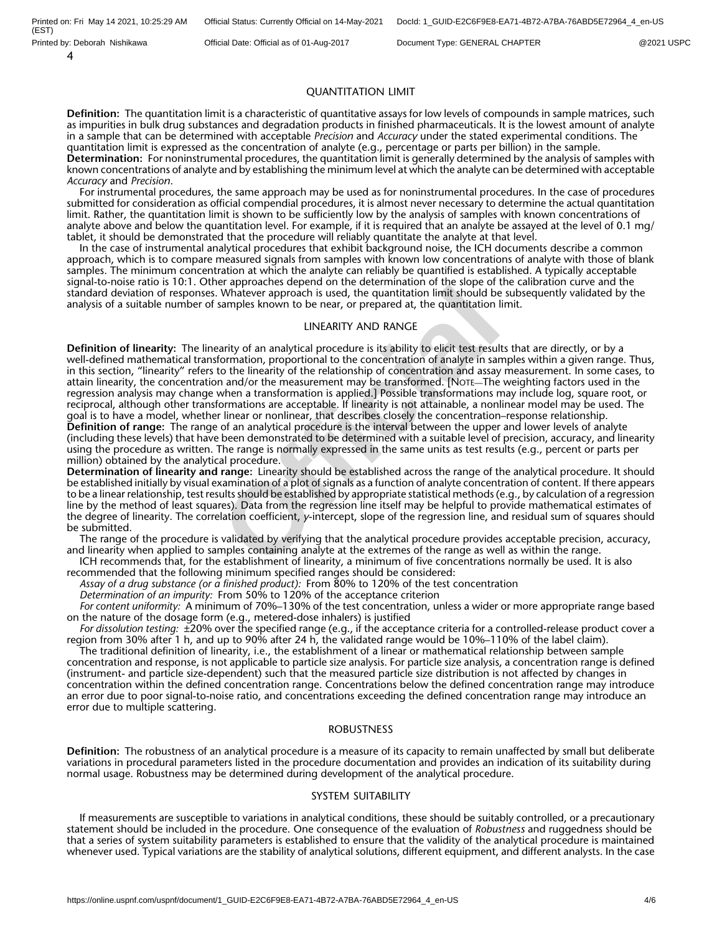Printed by: Deborah Nishikawa **Official Date: Official as of 01-Aug-2017** Document Type: GENERAL CHAPTER **@2021 USPC** 

#### QUANTITATION LIMIT

**Definition:** The quantitation limit is a characteristic of quantitative assays for low levels of compounds in sample matrices, such as impurities in bulk drug substances and degradation products in finished pharmaceuticals. It is the lowest amount of analyte in a sample that can be determined with acceptable *Precision* and *Accuracy* under the stated experimental conditions. The quantitation limit is expressed as the concentration of analyte (e.g., percentage or parts per billion) in the sample. **Determination:** For noninstrumental procedures, the quantitation limit is generally determined by the analysis of samples with known concentrations of analyte and by establishing the minimum level at which the analyte can be determined with acceptable *Accuracy* and *Precision*.

For instrumental procedures, the same approach may be used as for noninstrumental procedures. In the case of procedures submitted for consideration as official compendial procedures, it is almost never necessary to determine the actual quantitation limit. Rather, the quantitation limit is shown to be sufficiently low by the analysis of samples with known concentrations of analyte above and below the quantitation level. For example, if it is required that an analyte be assayed at the level of 0.1 mg/ tablet, it should be demonstrated that the procedure will reliably quantitate the analyte at that level.

In the case of instrumental analytical procedures that exhibit background noise, the ICH documents describe a common approach, which is to compare measured signals from samples with known low concentrations of analyte with those of blank samples. The minimum concentration at which the analyte can reliably be quantified is established. A typically acceptable signal-to-noise ratio is 10:1. Other approaches depend on the determination of the slope of the calibration curve and the standard deviation of responses. Whatever approach is used, the quantitation limit should be subsequently validated by the analysis of a suitable number of samples known to be near, or prepared at, the quantitation limit.

#### LINEARITY AND RANGE

**Definition of linearity:** The linearity of an analytical procedure is its ability to elicit test results that are directly, or by a well-defined mathematical transformation, proportional to the concentration of analyte in samples within a given range. Thus, in this section, "linearity" refers to the linearity of the relationship of concentration and assay measurement. In some cases, to attain linearity, the concentration and/or the measurement may be transformed. [NOTE—The weighting factors used in the regression analysis may change when a transformation is applied.] Possible transformations may include log, square root, or reciprocal, although other transformations are acceptable. If linearity is not attainable, a nonlinear model may be used. The goal is to have a model, whether linear or nonlinear, that describes closely the concentration–response relationship. **Definition of range:** The range of an analytical procedure is the interval between the upper and lower levels of analyte (including these levels) that have been demonstrated to be determined with a suitable level of precision, accuracy, and linearity using the procedure as written. The range is normally expressed in the same units as test results (e.g., percent or parts per million) obtained by the analytical procedure. **Conservation** Unit Simulation limit should be<br>
Whatever approach is used, the quantitation limit should be<br>
samples known to be near, or prepared at, the quantitation l<br>
LINEARITY AND RANGE<br>
arity of an analytical procedu

**Determination of linearity and range:** Linearity should be established across the range of the analytical procedure. It should be established initially by visual examination of a plot of signals as a function of analyte concentration of content. If there appears to be a linear relationship, test results should be established by appropriate statistical methods (e.g., by calculation of a regression line by the method of least squares). Data from the regression line itself may be helpful to provide mathematical estimates of the degree of linearity. The correlation coefficient, *y*-intercept, slope of the regression line, and residual sum of squares should be submitted.

The range of the procedure is validated by verifying that the analytical procedure provides acceptable precision, accuracy, and linearity when applied to samples containing analyte at the extremes of the range as well as within the range.

ICH recommends that, for the establishment of linearity, a minimum of five concentrations normally be used. It is also recommended that the following minimum specified ranges should be considered:

*Assay of a drug substance (or a finished product):* From 80% to 120% of the test concentration

*Determination of an impurity:* From 50% to 120% of the acceptance criterion

*For content uniformity:* A minimum of 70%–130% of the test concentration, unless a wider or more appropriate range based on the nature of the dosage form (e.g., metered-dose inhalers) is justified

*For dissolution testing:* ±20% over the specified range (e.g., if the acceptance criteria for a controlled-release product cover a region from 30% after 1 h, and up to 90% after 24 h, the validated range would be 10%–110% of the label claim).

The traditional definition of linearity, i.e., the establishment of a linear or mathematical relationship between sample concentration and response, is not applicable to particle size analysis. For particle size analysis, a concentration range is defined (instrument- and particle size-dependent) such that the measured particle size distribution is not affected by changes in concentration within the defined concentration range. Concentrations below the defined concentration range may introduce an error due to poor signal-to-noise ratio, and concentrations exceeding the defined concentration range may introduce an error due to multiple scattering.

### **ROBUSTNESS**

**Definition:** The robustness of an analytical procedure is a measure of its capacity to remain unaffected by small but deliberate variations in procedural parameters listed in the procedure documentation and provides an indication of its suitability during normal usage. Robustness may be determined during development of the analytical procedure.

#### SYSTEM SUITABILITY

If measurements are susceptible to variations in analytical conditions, these should be suitably controlled, or a precautionary statement should be included in the procedure. One consequence of the evaluation of *Robustness* and ruggedness should be that a series of system suitability parameters is established to ensure that the validity of the analytical procedure is maintained whenever used. Typical variations are the stability of analytical solutions, different equipment, and different analysts. In the case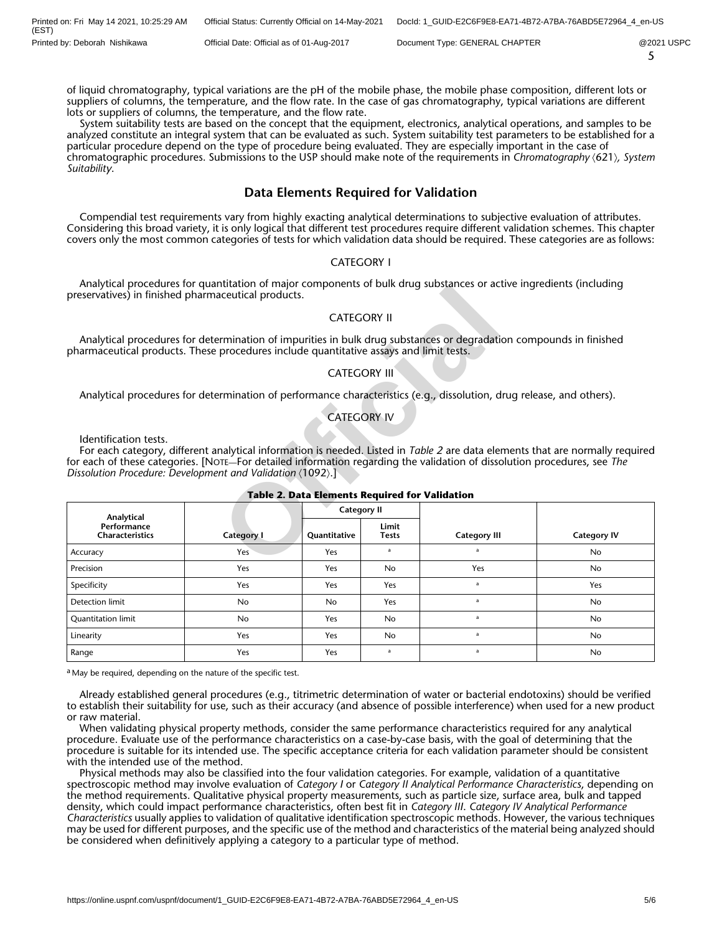| Printed on: Fri May 14 2021, 10:25:29 AM<br>(EST) | Official Status: Currently Official on 14-May-2021 | Docld: 1 GUID-E2C6F9E8-EA71-4B72-A7BA-76ABD5E72964 4 en-US |            |  |
|---------------------------------------------------|----------------------------------------------------|------------------------------------------------------------|------------|--|
| Printed by: Deborah Nishikawa                     | Official Date: Official as of 01-Aug-2017          | Document Type: GENERAL CHAPTER                             | @2021 USPC |  |

of liquid chromatography, typical variations are the pH of the mobile phase, the mobile phase composition, different lots or suppliers of columns, the temperature, and the flow rate. In the case of gas chromatography, typical variations are different lots or suppliers of columns, the temperature, and the flow rate.

System suitability tests are based on the concept that the equipment, electronics, analytical operations, and samples to be analyzed constitute an integral system that can be evaluated as such. System suitability test parameters to be established for a particular procedure depend on the type of procedure being evaluated. They are especially important in the case of chromatographic procedures. Submissions to the USP should make note of the requirements in *Chromatography* (621), System *Suitability*.

# **Data Elements Required for Validation**

Compendial test requirements vary from highly exacting analytical determinations to subjective evaluation of attributes. Considering this broad variety, it is only logical that different test procedures require different validation schemes. This chapter covers only the most common categories of tests for which validation data should be required. These categories are as follows:

## CATEGORY I

Analytical procedures for quantitation of major components of bulk drug substances or active ingredients (including preservatives) in finished pharmaceutical products.

## CATEGORY II

## CATEGORY III

# CATEGORY IV

| preservatives) in finished pharmaceutical products.                                                                                                                                                                                                                                                                                                                                                       |            |                     |              | Analytical procedules for quantitation or major components or buik undy substances or active inqredients (including   |                    |
|-----------------------------------------------------------------------------------------------------------------------------------------------------------------------------------------------------------------------------------------------------------------------------------------------------------------------------------------------------------------------------------------------------------|------------|---------------------|--------------|-----------------------------------------------------------------------------------------------------------------------|--------------------|
|                                                                                                                                                                                                                                                                                                                                                                                                           |            | <b>CATEGORY II</b>  |              |                                                                                                                       |                    |
| pharmaceutical products. These procedures include quantitative assays and limit tests.                                                                                                                                                                                                                                                                                                                    |            |                     |              | Analytical procedures for determination of impurities in bulk drug substances or degradation compounds in finished    |                    |
|                                                                                                                                                                                                                                                                                                                                                                                                           |            | <b>CATEGORY III</b> |              |                                                                                                                       |                    |
|                                                                                                                                                                                                                                                                                                                                                                                                           |            |                     |              | Analytical procedures for determination of performance characteristics (e.g., dissolution, drug release, and others). |                    |
|                                                                                                                                                                                                                                                                                                                                                                                                           |            | <b>CATEGORY IV</b>  |              |                                                                                                                       |                    |
| Identification tests.<br>For each category, different analytical information is needed. Listed in Table 2 are data elements that are normally required<br>for each of these categories. [NOTE-For detailed information regarding the validation of dissolution procedures, see The<br>Dissolution Procedure: Development and Validation (1092).]<br><b>Table 2. Data Elements Required for Validation</b> |            |                     |              |                                                                                                                       |                    |
| Analytical<br>Performance                                                                                                                                                                                                                                                                                                                                                                                 |            | <b>Category II</b>  | Limit        |                                                                                                                       |                    |
| <b>Characteristics</b>                                                                                                                                                                                                                                                                                                                                                                                    | Category I | <b>Ouantitative</b> | <b>Tests</b> | <b>Category III</b>                                                                                                   | <b>Category IV</b> |
| Accuracy                                                                                                                                                                                                                                                                                                                                                                                                  | Yes        | Yes                 | a            | $\mathsf{a}$                                                                                                          | <b>No</b>          |
| Precision                                                                                                                                                                                                                                                                                                                                                                                                 | Yes        | Yes                 | <b>No</b>    | Yes                                                                                                                   | N <sub>0</sub>     |
| Specificity                                                                                                                                                                                                                                                                                                                                                                                               | Yes        | Yes                 | Yes          | $\mathsf{a}$                                                                                                          | Yes                |
| <b>Detection limit</b>                                                                                                                                                                                                                                                                                                                                                                                    | <b>No</b>  | <b>No</b>           | Yes          | $\mathsf{a}$                                                                                                          | <b>No</b>          |
| Quantitation limit                                                                                                                                                                                                                                                                                                                                                                                        | <b>No</b>  | Yes                 | <b>No</b>    | $\mathsf{a}$                                                                                                          | <b>No</b>          |
| Linearity                                                                                                                                                                                                                                                                                                                                                                                                 | Yes        | Yes                 | <b>No</b>    | $\mathsf a$                                                                                                           | <b>No</b>          |
| Range                                                                                                                                                                                                                                                                                                                                                                                                     | Yes        | Yes                 | $\mathsf{a}$ | $\mathsf{a}$                                                                                                          | <b>No</b>          |

## **Table 2. Data Elements Required for Validation**

<sup>a</sup> May be required, depending on the nature of the specific test.

Already established general procedures (e.g., titrimetric determination of water or bacterial endotoxins) should be verified to establish their suitability for use, such as their accuracy (and absence of possible interference) when used for a new product or raw material.

When validating physical property methods, consider the same performance characteristics required for any analytical procedure. Evaluate use of the performance characteristics on a case-by-case basis, with the goal of determining that the procedure is suitable for its intended use. The specific acceptance criteria for each validation parameter should be consistent with the intended use of the method.

Physical methods may also be classified into the four validation categories. For example, validation of a quantitative spectroscopic method may involve evaluation of *Category I* or *Category II Analytical Performance Characteristics*, depending on the method requirements. Qualitative physical property measurements, such as particle size, surface area, bulk and tapped density, which could impact performance characteristics, often best fit in *Category III*. *Category IV Analytical Performance Characteristics* usually applies to validation of qualitative identification spectroscopic methods. However, the various techniques may be used for different purposes, and the specific use of the method and characteristics of the material being analyzed should be considered when definitively applying a category to a particular type of method.